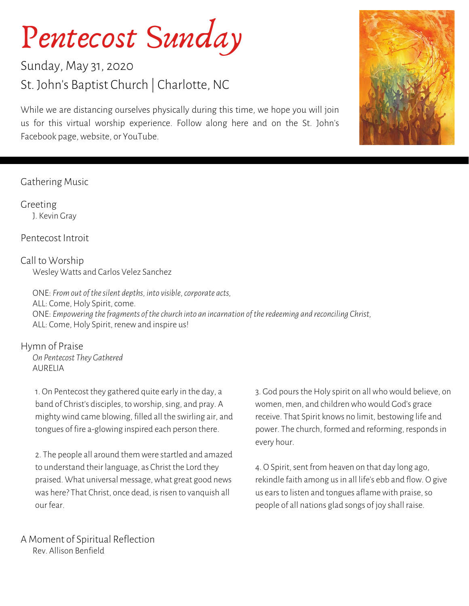# Pentecost Sunday

### Sunday, May 31, 2020 St. John's Baptist Church | Charlotte, NC

While we are distancing ourselves physically during this time, we hope you will join us for this virtual worship experience. Follow along here and on the St. John's Facebook page, website, or YouTube.

#### Gathering Music

Greeting J. Kevin Gray

Pentecost Introit

Call to Worship Wesley Watts and Carlos Velez Sanchez

ONE: *From out ofthesilent depths, into visible,corporate acts,* ALL: Come, Holy Spirit, come. ONE: *Empowering thefragments ofthechurch into an incarnation oftheredeeming and reconciling Christ,* ALL: Come, Holy Spirit, renew and inspire us!

Hymn of Praise

*On Pentecost They Gathered* AURELIA

1. On Pentecost they gathered quite early in the day, a band of Christ's disciples, to worship, sing, and pray. A mighty wind came blowing, filled all the swirling air, and tongues of fire a-glowing inspired each person there.

2. The people all around them were startled and amazed to understand their language, as Christ the Lord they praised. What universal message, what great good news was here? That Christ, once dead, is risen to vanquish all our fear.

3. God pours the Holy spirit on all who would believe, on women, men, and children who would God's grace receive. That Spirit knows no limit, bestowing life and power. The church, formed and reforming, respondsin every hour.

4. O Spirit, sent from heaven on that day long ago, rekindle faith among us in all life's ebb and flow. O give us earsto listen and tongues aflame with praise,so people of all nations glad songs of joy shall raise.

A Moment of Spiritual Reflection Rev. Allison Benfield

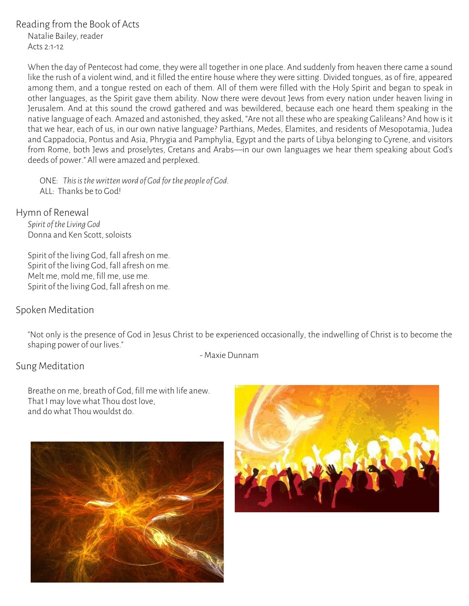#### Reading from the Book of Acts

Natalie Bailey, reader Acts 2:1-12

When the day of Pentecost had come, they were all together in one place. And suddenly from heaven there came a sound like the rush of a violent wind, and it filled the entire house where they were sitting. Divided tongues, as of fire, appeared among them, and a tongue rested on each of them. All of them were filled with the Holy Spirit and began to speak in other languages, as the Spirit gave them ability. Now there were devout Jews from every nation under heaven living in Jerusalem. And at this sound the crowd gathered and was bewildered, because each one heard them speaking in the native language of each. Amazed and astonished, they asked, "Are not all these who are speaking Galileans? And how is it that we hear, each of us, in our own native language? Parthians, Medes, Elamites, and residents of Mesopotamia, Judea and Cappadocia, Pontus and Asia, Phrygia and Pamphylia, Egypt and the parts of Libya belonging to Cyrene, and visitors from Rome, both Jews and proselytes, Cretans and Arabs—in our own languages we hear them speaking about God's deeds of power." All were amazed and perplexed.

ONE: *Thisisthewrittenword of God forthe people of God.* ALL: Thanks be to God!

Hymn of Renewal *Spirit oftheLiving God*

.<br>Donna and Ken Scott, soloists

Spirit of the living God, fall afresh on me. Spirit of the living God, fall afresh on me. Melt me, mold me, fill me, use me. Spirit of the living God, fall afresh on me.

#### Spoken Meditation

"Not only is the presence of God in Jesus Christ to be experienced occasionally, the indwelling of Christ is to become the shaping power of our lives."

- Maxie Dunnam

#### Sung Meditation

Breathe on me, breath of God, fill me with life anew. That I may love what Thou dost love, and do what Thou wouldst do.



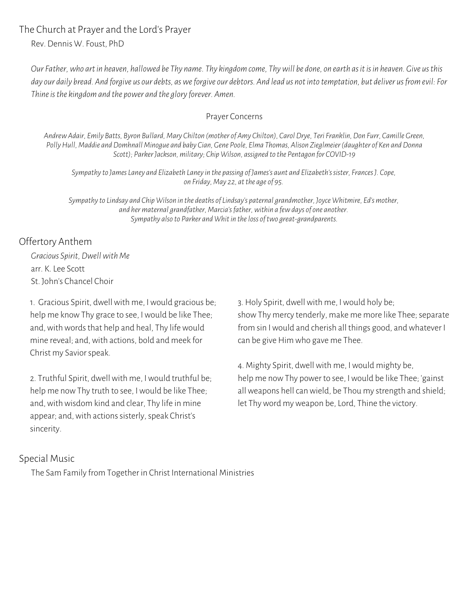The Church at Prayer and the Lord's Prayer

Rev. Dennis W. Foust, PhD

Our Father, who art in heaven, hallowed be Thy name. Thy kingdom come, Thy will be done, on earth as it is in heaven. Give us this day our daily bread. And forgive us our debts, as we forgive our debtors. And lead us not into temptation, but deliver us from evil: For *Thineisthe kingdom and the power and the gloryforever. Amen.*

#### Prayer Concerns

Andrew Adair, Emily Batts, Byron Bullard, Mary Chilton (mother of Amy Chilton), Carol Drye, Teri Franklin, Don Furr, Camille Green, Polly Hull, Maddie and Domhnall Minogue and baby Cian, Gene Poole, Elma Thomas, Alison Zieglmeier (daughter of Ken and Donna *Scott); ParkerJackson, military; Chip Wilson, assigned to the Pentagon for COVID-19*

*Sympathyto JamesLaney and Elizabeth Laneyin the passing of James's aunt and Elizabeth'ssister, FrancesJ. Cope, on Friday, May 22, atthe age of 95.*

*Sympathyto Lindsay and Chip Wilson in the deaths ofLindsay's paternal grandmother, Joyce Whitmire, Ed's mother, and her maternal grandfather, Marcia'sfather,within a fewdays of one another. Sympathy also to Parker and Whitin theloss oftwo great-grandparents.*

#### Offertory Anthem

*Gracious Spirit, Dwellwith Me* arr. K. Lee Scott St. John's Chancel Choir

1. Gracious Spirit, dwell with me, I would gracious be; help me know Thy grace to see, I would be like Thee; and, with words that help and heal, Thy life would mine reveal; and, with actions, bold and meek for Christ my Saviorspeak.

2. Truthful Spirit, dwell with me, I would truthful be; help me now Thy truth to see, I would be like Thee; and, with wisdom kind and clear, Thy life in mine appear; and, with actions sisterly, speak Christ's sincerity.

3. Holy Spirit, dwell with me, I would holy be; show Thy mercy tenderly, make me more like Thee; separate from sin I would and cherish all things good, and whatever I can be give Him who gave me Thee.

4. Mighty Spirit, dwell with me, I would mighty be, help me now Thy power to see, I would be like Thee; 'gainst all weapons hell can wield, be Thou my strength and shield; let Thy word my weapon be, Lord, Thine the victory.

#### Special Music

The Sam Family from Together in Christ International Ministries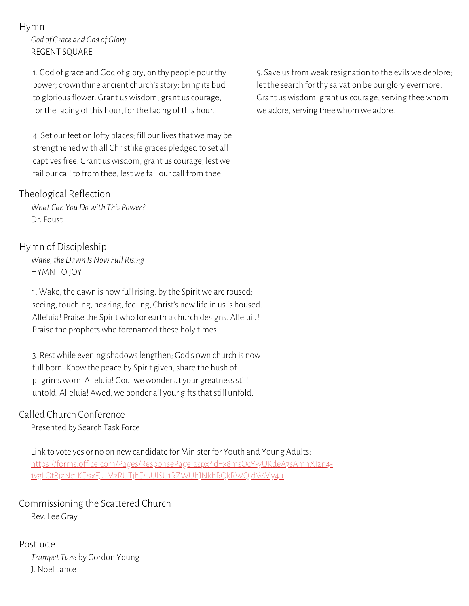#### Hymn

*God of Grace and God of Glory* REGENT SQUARE

1. God of grace and God of glory, on thy people pour thy power; crown thine ancient church's story; bring its bud to glorious flower. Grant us wisdom, grant us courage, for the facing of this hour, for the facing of this hour.

4. Set our feet on lofty places; fill our livesthat we may be strengthened with all Christlike graces pledged to set all captives free. Grant us wisdom, grant us courage, lest we fail our call to from thee, lest we fail our call from thee.

#### Theological Reflection

*What Can You Dowith This Power?* Dr. Foust

#### Hymn of Discipleship

*Wake,the Dawn IsNowFull Rising* HYMN TO JOY

1. Wake, the dawn is now full rising, by the Spirit we are roused; seeing, touching, hearing, feeling, Christ's new life in us is housed. Alleluia! Praise the Spirit who for earth a church designs. Alleluia! Praise the prophets who forenamed these holy times.

3. Rest while evening shadowslengthen; God's own church is now full born. Know the peace by Spirit given, share the hush of pilgrims worn. Alleluia! God, we wonder at your greatness still untold. Alleluia! Awed, we ponder all your gifts that still unfold.

#### Called Church Conference

Presented by Search Task Force

Link to vote yes or no on new candidate for Minister for Youth and Young Adults: [https://forms.office.com/Pages/ResponsePage.aspx?id=x8msOcY-yUKdeA7sAmnXI2n4-](https://forms.office.com/Pages/ResponsePage.aspx?id=x8msOcY-yUKdeA7sAmnXI2n4-1vgLOtBjzNe1KDsxFJUMzRUTjhDUUlSU1RZWUhJNkhRQkRWQldWMy4u) 1vgLOtBjzNe1KDsxFJUMzRUTjhDUUlSU1RZWUhJNkhRQkRWQldWMy4u

Commissioning the Scattered Church Rev. Lee Gray

Postlude *Trumpet Tune* by Gordon Young J. Noel Lance

5. Save us from weak resignation to the evils we deplore; let the search for thy salvation be our glory evermore. Grant us wisdom, grant us courage, serving thee whom we adore, serving thee whom we adore.